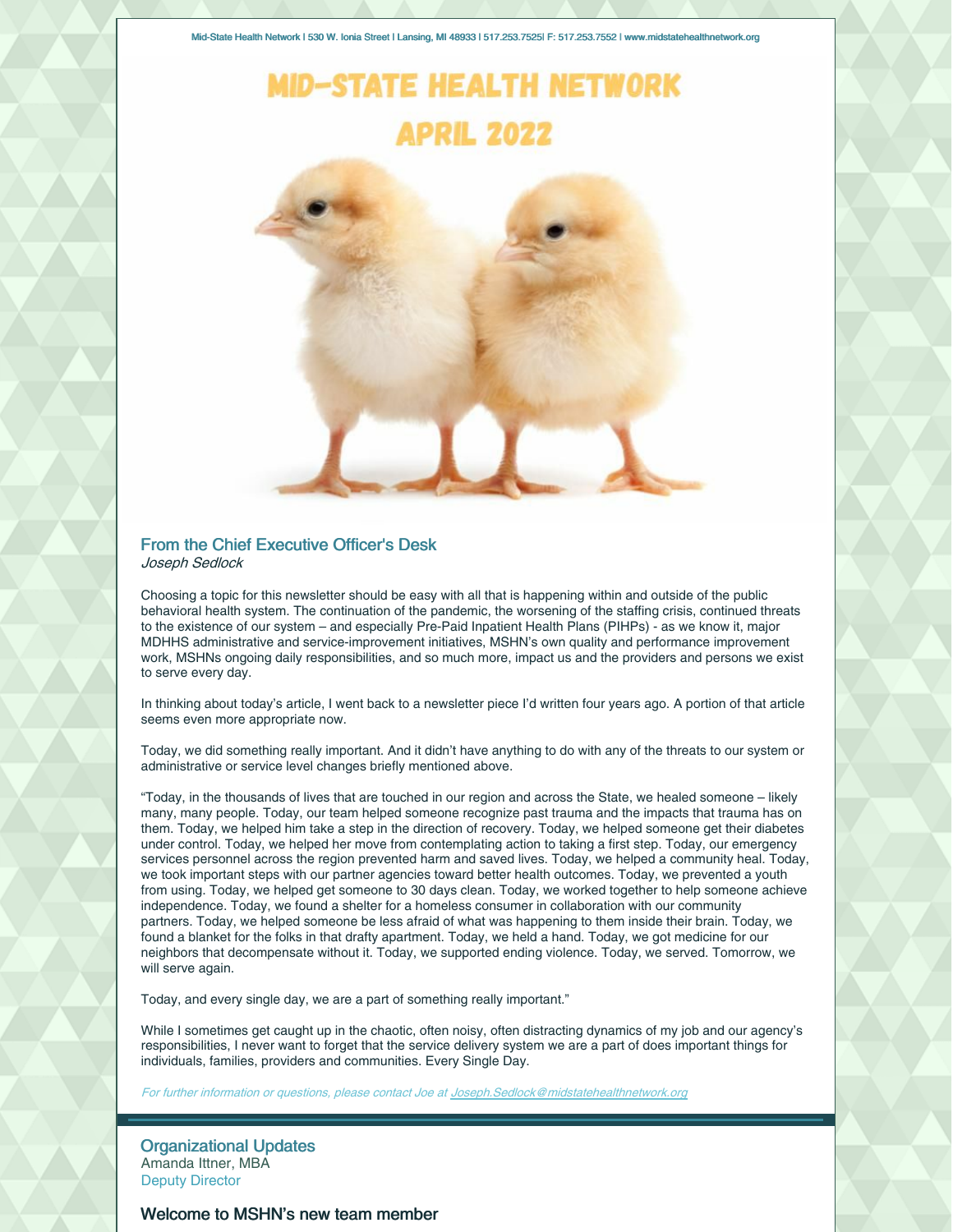# **MID-STATE HEALTH NETWORK APRIL 2022**



## From the Chief Executive Officer's Desk Joseph Sedlock

Choosing a topic for this newsletter should be easy with all that is happening within and outside of the public behavioral health system. The continuation of the pandemic, the worsening of the staffing crisis, continued threats to the existence of our system – and especially Pre-Paid Inpatient Health Plans (PIHPs) - as we know it, major MDHHS administrative and service-improvement initiatives, MSHN's own quality and performance improvement work, MSHNs ongoing daily responsibilities, and so much more, impact us and the providers and persons we exist to serve every day.

In thinking about today's article, I went back to a newsletter piece I'd written four years ago. A portion of that article seems even more appropriate now.

Today, we did something really important. And it didn't have anything to do with any of the threats to our system or administrative or service level changes briefly mentioned above.

"Today, in the thousands of lives that are touched in our region and across the State, we healed someone – likely many, many people. Today, our team helped someone recognize past trauma and the impacts that trauma has on them. Today, we helped him take a step in the direction of recovery. Today, we helped someone get their diabetes under control. Today, we helped her move from contemplating action to taking a first step. Today, our emergency services personnel across the region prevented harm and saved lives. Today, we helped a community heal. Today, we took important steps with our partner agencies toward better health outcomes. Today, we prevented a youth from using. Today, we helped get someone to 30 days clean. Today, we worked together to help someone achieve independence. Today, we found a shelter for a homeless consumer in collaboration with our community partners. Today, we helped someone be less afraid of what was happening to them inside their brain. Today, we found a blanket for the folks in that drafty apartment. Today, we held a hand. Today, we got medicine for our neighbors that decompensate without it. Today, we supported ending violence. Today, we served. Tomorrow, we will serve again.

Today, and every single day, we are a part of something really important."

While I sometimes get caught up in the chaotic, often noisy, often distracting dynamics of my job and our agency's responsibilities, I never want to forget that the service delivery system we are a part of does important things for individuals, families, providers and communities. Every Single Day.

For further information or questions, please contact Joe at [Joseph.Sedlock@midstatehealthnetwork.org](mailto:Joseph.Sedlock@midstatehealthnetwork.org)

Organizational Updates Amanda Ittner, MBA Deputy Director

Welcome to MSHN's new team member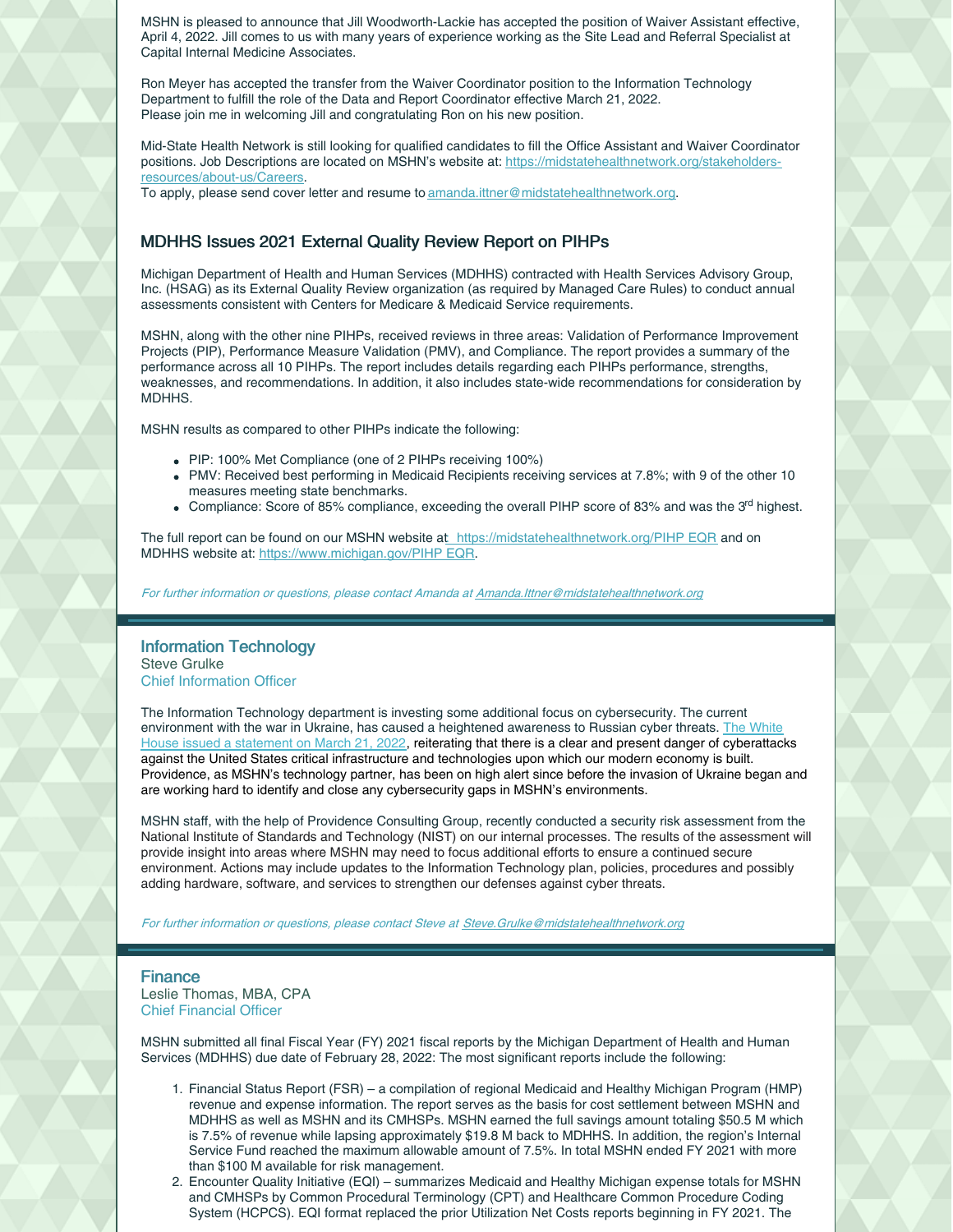MSHN is pleased to announce that Jill Woodworth-Lackie has accepted the position of Waiver Assistant effective, April 4, 2022. Jill comes to us with many years of experience working as the Site Lead and Referral Specialist at Capital Internal Medicine Associates.

Ron Meyer has accepted the transfer from the Waiver Coordinator position to the Information Technology Department to fulfill the role of the Data and Report Coordinator effective March 21, 2022. Please join me in welcoming Jill and congratulating Ron on his new position.

Mid-State Health Network is still looking for qualified candidates to fill the Office Assistant and Waiver Coordinator positions. Job Descriptions are located on MSHN's website at: [https://midstatehealthnetwork.org/stakeholders](https://midstatehealthnetwork.org/stakeholders-resources/about-us/Careers)resources/about-us/Careers.

To apply, please send cover letter and resume to [amanda.ittner@midstatehealthnetwork.org](mailto:amanda.ittner@midstatehealthnetwork.org).

## MDHHS Issues 2021 External Quality Review Report on PIHPs

Michigan Department of Health and Human Services (MDHHS) contracted with Health Services Advisory Group, Inc. (HSAG) as its External Quality Review organization (as required by Managed Care Rules) to conduct annual assessments consistent with Centers for Medicare & Medicaid Service requirements.

MSHN, along with the other nine PIHPs, received reviews in three areas: Validation of Performance Improvement Projects (PIP), Performance Measure Validation (PMV), and Compliance. The report provides a summary of the performance across all 10 PIHPs. The report includes details regarding each PIHPs performance, strengths, weaknesses, and recommendations. In addition, it also includes state-wide recommendations for consideration by MDHHS.

MSHN results as compared to other PIHPs indicate the following:

- PIP: 100% Met Compliance (one of 2 PIHPs receiving 100%)
- PMV: Received best performing in Medicaid Recipients receiving services at 7.8%; with 9 of the other 10 measures meeting state benchmarks.
- Compliance: Score of 85% compliance, exceeding the overall PIHP score of 83% and was the 3<sup>rd</sup> highest.

The full report can be found on our MSHN website at [https://midstatehealthnetwork.org/PIHP](https://midstatehealthnetwork.org/application/files/3216/4848/9266/MI2021_PIHP_EQR-TR_Report_F1.pdf) EQR and on MDHHS website at: [https://www.michigan.gov/PIHP](https://nam11.safelinks.protection.outlook.com/?url=https%3A%2F%2Fwww.michigan.gov%2Fmdhhs%2F0%2C5885%2C7-339-71550_2941_4868_4902-231128--%2C00.html&data=04%7C01%7C%7Cb84e2b6460e04f0aca9708da10c0c793%7C843a070b9fc1420ea2dee05952409d46%7C0%7C0%7C637840717950321446%7CUnknown%7CTWFpbGZsb3d8eyJWIjoiMC4wLjAwMDAiLCJQIjoiV2luMzIiLCJBTiI6Ik1haWwiLCJXVCI6Mn0%3D%7C3000&sdata=7GJn53jhmGBQmxpTUgDVBZMv2Gxn4Ss1fPLQVJzoVhI%3D&reserved=0) EQR.

For further information or questions, please contact Amanda at [Amanda.Ittner@midstatehealthnetwork.org](mailto:amanda.ittner@midstatehealthnetwork.org)

#### Information Technology Steve Grulke

Chief Information Officer

The Information Technology department is investing some additional focus on cybersecurity. The current [environment](https://www.whitehouse.gov/briefing-room/statements-releases/2022/03/21/statement-by-president-biden-on-our-nations-cybersecurity/?utm_medium=email&_hsmi=207606519&_hsenc=p2ANqtz-8SmHYfOEaec9vW5Gu3dR7XNXotuZiKVrXzsl-II7jvhA9Meketly2PvoMKuoG3tw65S4f0HjAamC5zG0J_9rNJRd2nA0xokdKV7FM72O3SOwCkadY&utm_content=207606519&utm_source=hs_email) with the war in Ukraine, has caused a heightened awareness to Russian cyber threats. The White House issued a statement on March 21, 2022, reiterating that there is a clear and present danger of cyberattacks against the United States critical infrastructure and technologies upon which our modern economy is built. Providence, as MSHN's technology partner, has been on high alert since before the invasion of Ukraine began and are working hard to identify and close any cybersecurity gaps in MSHN's environments.

MSHN staff, with the help of Providence Consulting Group, recently conducted a security risk assessment from the National Institute of Standards and Technology (NIST) on our internal processes. The results of the assessment will provide insight into areas where MSHN may need to focus additional efforts to ensure a continued secure environment. Actions may include updates to the Information Technology plan, policies, procedures and possibly adding hardware, software, and services to strengthen our defenses against cyber threats.

For further information or questions, please contact Steve at [Steve.Grulke@midstatehealthnetwork.org](mailto:steve.grulke@midstatehealthnetwork.org)

## Finance

Leslie Thomas, MBA, CPA Chief Financial Officer

MSHN submitted all final Fiscal Year (FY) 2021 fiscal reports by the Michigan Department of Health and Human Services (MDHHS) due date of February 28, 2022: The most significant reports include the following:

- 1. Financial Status Report (FSR) a compilation of regional Medicaid and Healthy Michigan Program (HMP) revenue and expense information. The report serves as the basis for cost settlement between MSHN and MDHHS as well as MSHN and its CMHSPs. MSHN earned the full savings amount totaling \$50.5 M which is 7.5% of revenue while lapsing approximately \$19.8 M back to MDHHS. In addition, the region's Internal Service Fund reached the maximum allowable amount of 7.5%. In total MSHN ended FY 2021 with more than \$100 M available for risk management.
- 2. Encounter Quality Initiative (EQI) summarizes Medicaid and Healthy Michigan expense totals for MSHN and CMHSPs by Common Procedural Terminology (CPT) and Healthcare Common Procedure Coding System (HCPCS). EQI format replaced the prior Utilization Net Costs reports beginning in FY 2021. The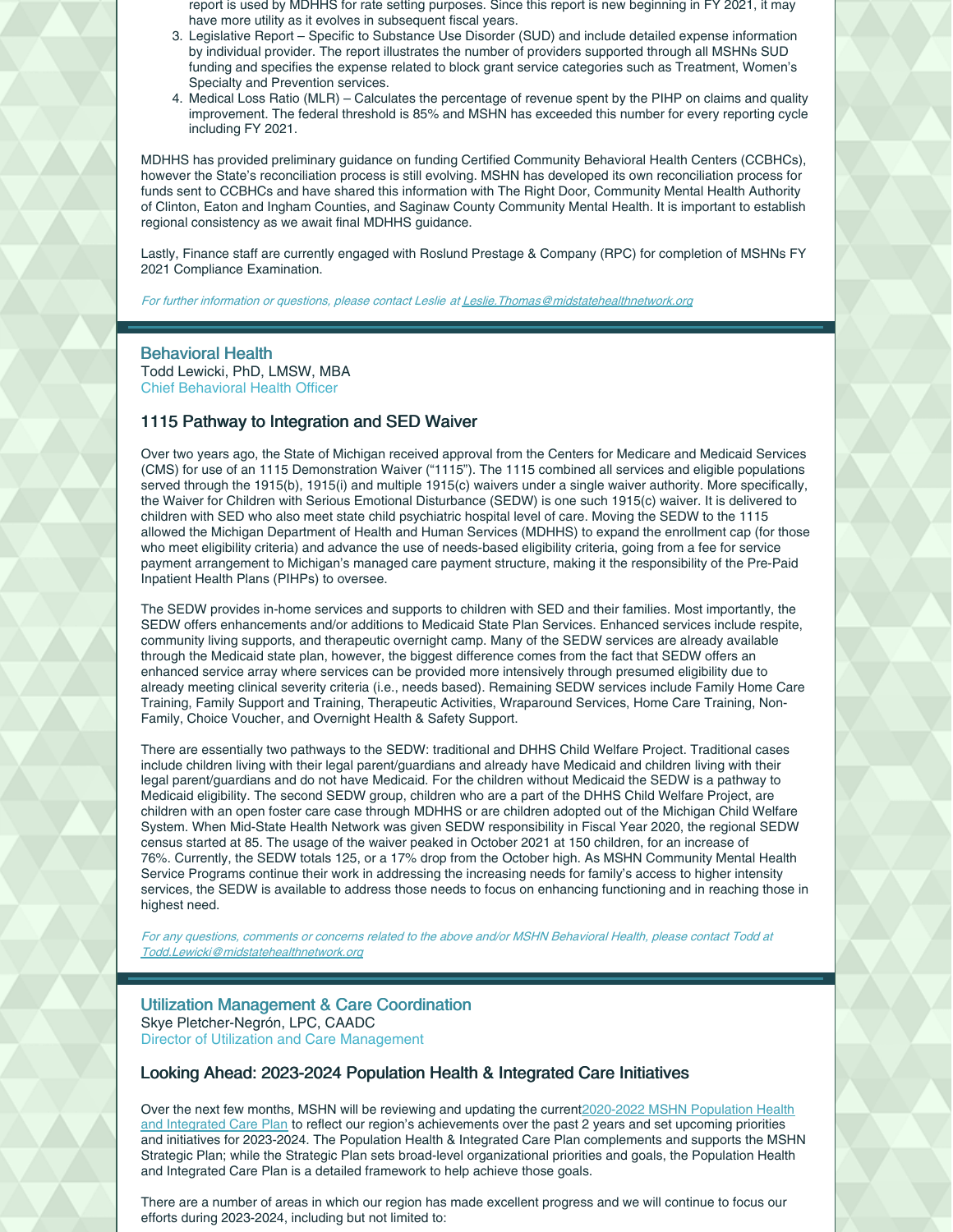- report is used by MDHHS for rate setting purposes. Since this report is new beginning in FY 2021, it may have more utility as it evolves in subsequent fiscal years.
- 3. Legislative Report Specific to Substance Use Disorder (SUD) and include detailed expense information by individual provider. The report illustrates the number of providers supported through all MSHNs SUD funding and specifies the expense related to block grant service categories such as Treatment, Women's Specialty and Prevention services.
- 4. Medical Loss Ratio (MLR) Calculates the percentage of revenue spent by the PIHP on claims and quality improvement. The federal threshold is 85% and MSHN has exceeded this number for every reporting cycle including FY 2021.

MDHHS has provided preliminary guidance on funding Certified Community Behavioral Health Centers (CCBHCs), however the State's reconciliation process is still evolving. MSHN has developed its own reconciliation process for funds sent to CCBHCs and have shared this information with The Right Door, Community Mental Health Authority of Clinton, Eaton and Ingham Counties, and Saginaw County Community Mental Health. It is important to establish regional consistency as we await final MDHHS guidance.

Lastly, Finance staff are currently engaged with Roslund Prestage & Company (RPC) for completion of MSHNs FY 2021 Compliance Examination.

For further information or questions, please contact Leslie at Leslie. Thomas@midstatehealthnetwork.org

## Behavioral Health

Todd Lewicki, PhD, LMSW, MBA Chief Behavioral Health Officer

## 1115 Pathway to Integration and SED Waiver

Over two years ago, the State of Michigan received approval from the Centers for Medicare and Medicaid Services (CMS) for use of an 1115 Demonstration Waiver ("1115"). The 1115 combined all services and eligible populations served through the 1915(b), 1915(i) and multiple 1915(c) waivers under a single waiver authority. More specifically, the Waiver for Children with Serious Emotional Disturbance (SEDW) is one such 1915(c) waiver. It is delivered to children with SED who also meet state child psychiatric hospital level of care. Moving the SEDW to the 1115 allowed the Michigan Department of Health and Human Services (MDHHS) to expand the enrollment cap (for those who meet eligibility criteria) and advance the use of needs-based eligibility criteria, going from a fee for service payment arrangement to Michigan's managed care payment structure, making it the responsibility of the Pre-Paid Inpatient Health Plans (PIHPs) to oversee.

The SEDW provides in-home services and supports to children with SED and their families. Most importantly, the SEDW offers enhancements and/or additions to Medicaid State Plan Services. Enhanced services include respite, community living supports, and therapeutic overnight camp. Many of the SEDW services are already available through the Medicaid state plan, however, the biggest difference comes from the fact that SEDW offers an enhanced service array where services can be provided more intensively through presumed eligibility due to already meeting clinical severity criteria (i.e., needs based). Remaining SEDW services include Family Home Care Training, Family Support and Training, Therapeutic Activities, Wraparound Services, Home Care Training, Non-Family, Choice Voucher, and Overnight Health & Safety Support.

There are essentially two pathways to the SEDW: traditional and DHHS Child Welfare Project. Traditional cases include children living with their legal parent/guardians and already have Medicaid and children living with their legal parent/guardians and do not have Medicaid. For the children without Medicaid the SEDW is a pathway to Medicaid eligibility. The second SEDW group, children who are a part of the DHHS Child Welfare Project, are children with an open foster care case through MDHHS or are children adopted out of the Michigan Child Welfare System. When Mid-State Health Network was given SEDW responsibility in Fiscal Year 2020, the regional SEDW census started at 85. The usage of the waiver peaked in October 2021 at 150 children, for an increase of 76%. Currently, the SEDW totals 125, or a 17% drop from the October high. As MSHN Community Mental Health Service Programs continue their work in addressing the increasing needs for family's access to higher intensity services, the SEDW is available to address those needs to focus on enhancing functioning and in reaching those in highest need.

For any questions, comments or concerns related to the above and/or MSHN Behavioral Health, please contact Todd at [Todd.Lewicki@midstatehealthnetwork.org](mailto:Todd.Lewicki@midstatehealthnetwork.org)

## Utilization Management & Care Coordination Skye Pletcher-Negrón, LPC, CAADC Director of Utilization and Care Management

## Looking Ahead: 2023-2024 Population Health & Integrated Care Initiatives

Over the next few months, MSHN will be reviewing and updating the current 2020-2022 MSHN Population Health and Integrated Care Plan to reflect our region's achievements over the past 2 years and set upcoming priorities and initiatives for 2023-2024. The Population Health & Integrated Care Plan complements and supports the MSHN Strategic Plan; while the Strategic Plan sets broad-level organizational priorities and goals, the Population Health and Integrated Care Plan is a detailed framework to help achieve those goals.

There are a number of areas in which our region has made excellent progress and we will continue to focus our efforts during 2023-2024, including but not limited to: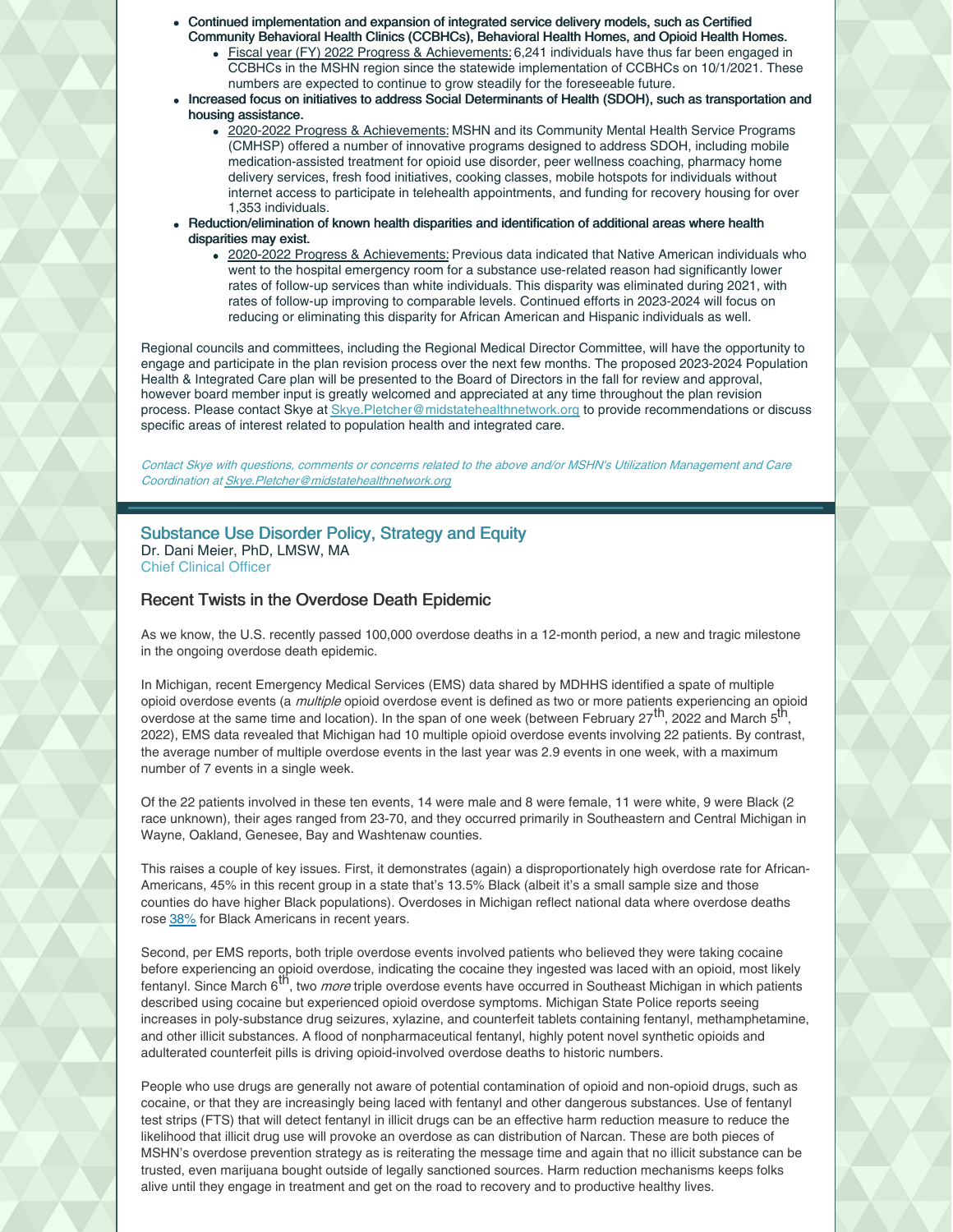- Continued implementation and expansion of integrated service delivery models, such as Certified Community Behavioral Health Clinics (CCBHCs), Behavioral Health Homes, and Opioid Health Homes.
	- Fiscal year (FY) 2022 Progress & Achievements: 6,241 individuals have thus far been engaged in CCBHCs in the MSHN region since the statewide implementation of CCBHCs on 10/1/2021. These numbers are expected to continue to grow steadily for the foreseeable future.
- Increased focus on initiatives to address Social Determinants of Health (SDOH), such as transportation and housing assistance.
	- 2020-2022 Progress & Achievements: MSHN and its Community Mental Health Service Programs (CMHSP) offered a number of innovative programs designed to address SDOH, including mobile medication-assisted treatment for opioid use disorder, peer wellness coaching, pharmacy home delivery services, fresh food initiatives, cooking classes, mobile hotspots for individuals without internet access to participate in telehealth appointments, and funding for recovery housing for over 1,353 individuals.
- Reduction/elimination of known health disparities and identification of additional areas where health disparities may exist.
	- 2020-2022 Progress & Achievements: Previous data indicated that Native American individuals who went to the hospital emergency room for a substance use-related reason had significantly lower rates of follow-up services than white individuals. This disparity was eliminated during 2021, with rates of follow-up improving to comparable levels. Continued efforts in 2023-2024 will focus on reducing or eliminating this disparity for African American and Hispanic individuals as well.

Regional councils and committees, including the Regional Medical Director Committee, will have the opportunity to engage and participate in the plan revision process over the next few months. The proposed 2023-2024 Population Health & Integrated Care plan will be presented to the Board of Directors in the fall for review and approval, however board member input is greatly welcomed and appreciated at any time throughout the plan revision process. Please contact Skye at [Skye.Pletcher@midstatehealthnetwork.org](mailto:Skye.Pletcher@midstatehealthnetwork.org) to provide recommendations or discuss specific areas of interest related to population health and integrated care.

Contact Skye with questions, comments or concerns related to the above and/or MSHN's Utilization Management and Care Coordination at [Skye.Pletcher@midstatehealthnetwork.org](mailto:Skye.Pletcher@midstatehealthnetwork.org)

## Substance Use Disorder Policy, Strategy and Equity Dr. Dani Meier, PhD, LMSW, MA Chief Clinical Officer

## Recent Twists in the Overdose Death Epidemic

As we know, the U.S. recently passed 100,000 overdose deaths in a 12-month period, a new and tragic milestone in the ongoing overdose death epidemic.

In Michigan, recent Emergency Medical Services (EMS) data shared by MDHHS identified a spate of multiple opioid overdose events (a multiple opioid overdose event is defined as two or more patients experiencing an opioid overdose at the same time and location). In the span of one week (between February 27<sup>th</sup>, 2022 and March 5<sup>th</sup>, 2022), EMS data revealed that Michigan had 10 multiple opioid overdose events involving 22 patients. By contrast, the average number of multiple overdose events in the last year was 2.9 events in one week, with a maximum number of 7 events in a single week.

Of the 22 patients involved in these ten events, 14 were male and 8 were female, 11 were white, 9 were Black (2 race unknown), their ages ranged from 23-70, and they occurred primarily in Southeastern and Central Michigan in Wayne, Oakland, Genesee, Bay and Washtenaw counties.

This raises a couple of key issues. First, it demonstrates (again) a disproportionately high overdose rate for African-Americans, 45% in this recent group in a state that's 13.5% Black (albeit it's a small sample size and those counties do have higher Black populations). Overdoses in Michigan reflect national data where overdose deaths rose [38%](https://www.nih.gov/news-events/nih-research-matters/opioid-overdose-deaths-rise-among-black-americans) for Black Americans in recent years.

Second, per EMS reports, both triple overdose events involved patients who believed they were taking cocaine before experiencing an opioid overdose, indicating the cocaine they ingested was laced with an opioid, most likely fentanyl. Since March 6<sup>th</sup>, two *more* triple overdose events have occurred in Southeast Michigan in which patients described using cocaine but experienced opioid overdose symptoms. Michigan State Police reports seeing increases in poly-substance drug seizures, xylazine, and counterfeit tablets containing fentanyl, methamphetamine, and other illicit substances. A flood of nonpharmaceutical fentanyl, highly potent novel synthetic opioids and adulterated counterfeit pills is driving opioid-involved overdose deaths to historic numbers.

People who use drugs are generally not aware of potential contamination of opioid and non-opioid drugs, such as cocaine, or that they are increasingly being laced with fentanyl and other dangerous substances. Use of fentanyl test strips (FTS) that will detect fentanyl in illicit drugs can be an effective harm reduction measure to reduce the likelihood that illicit drug use will provoke an overdose as can distribution of Narcan. These are both pieces of MSHN's overdose prevention strategy as is reiterating the message time and again that no illicit substance can be trusted, even marijuana bought outside of legally sanctioned sources. Harm reduction mechanisms keeps folks alive until they engage in treatment and get on the road to recovery and to productive healthy lives.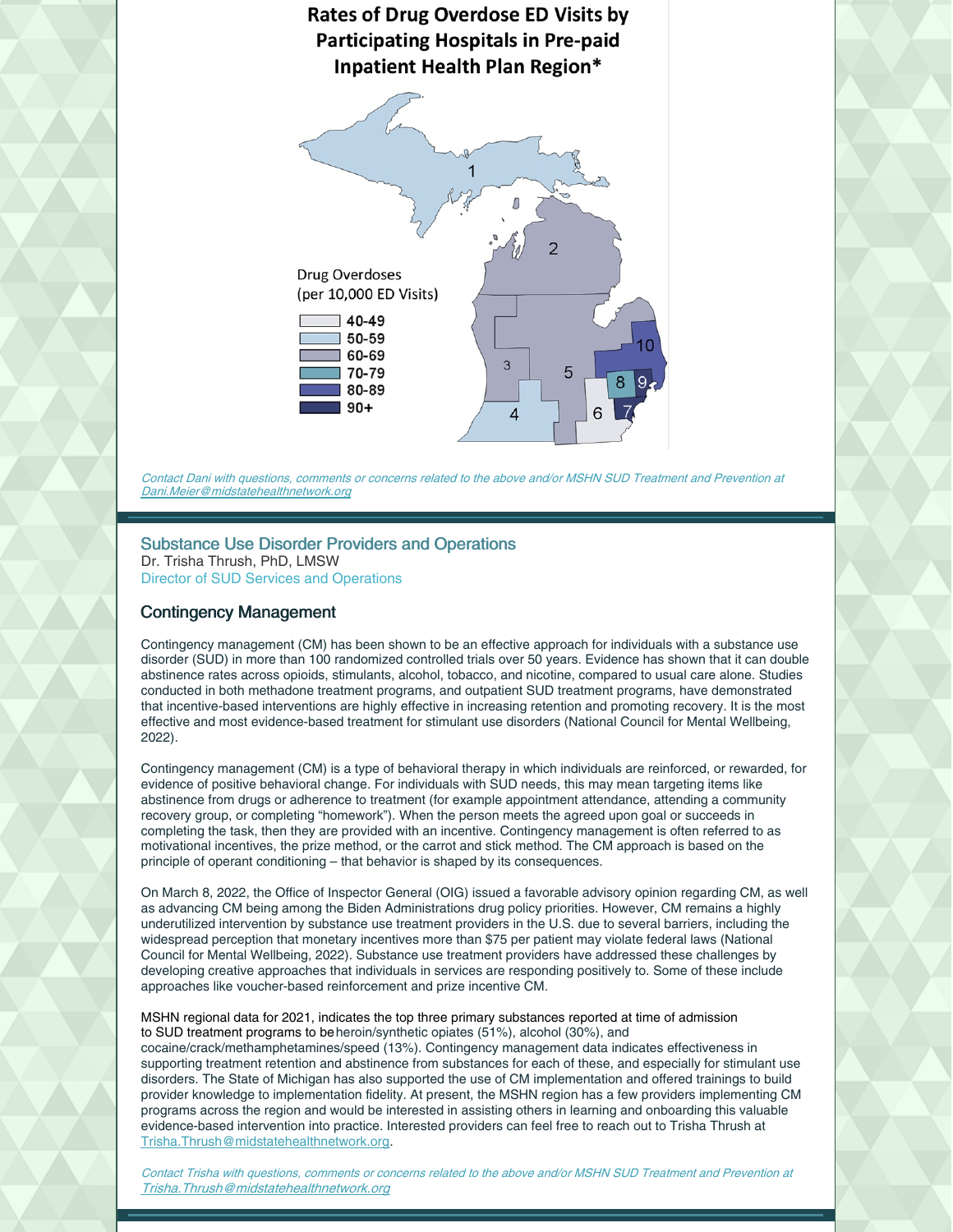

Contact Dani with questions, comments or concerns related to the above and/or MSHN SUD Treatment and Prevention at [Dani.Meier@midstatehealthnetwork.org](mailto:Dani.Meier@midstatehealthnetwork.org)

# Substance Use Disorder Providers and Operations

Dr. Trisha Thrush, PhD, LMSW Director of SUD Services and Operations

## Contingency Management

Contingency management (CM) has been shown to be an effective approach for individuals with a substance use disorder (SUD) in more than 100 randomized controlled trials over 50 years. Evidence has shown that it can double abstinence rates across opioids, stimulants, alcohol, tobacco, and nicotine, compared to usual care alone. Studies conducted in both methadone treatment programs, and outpatient SUD treatment programs, have demonstrated that incentive-based interventions are highly effective in increasing retention and promoting recovery. It is the most effective and most evidence-based treatment for stimulant use disorders (National Council for Mental Wellbeing, 2022).

Contingency management (CM) is a type of behavioral therapy in which individuals are reinforced, or rewarded, for evidence of positive behavioral change. For individuals with SUD needs, this may mean targeting items like abstinence from drugs or adherence to treatment (for example appointment attendance, attending a community recovery group, or completing "homework"). When the person meets the agreed upon goal or succeeds in completing the task, then they are provided with an incentive. Contingency management is often referred to as motivational incentives, the prize method, or the carrot and stick method. The CM approach is based on the principle of operant conditioning – that behavior is shaped by its consequences.

On March 8, 2022, the Office of Inspector General (OIG) issued a favorable advisory opinion regarding CM, as well as advancing CM being among the Biden Administrations drug policy priorities. However, CM remains a highly underutilized intervention by substance use treatment providers in the U.S. due to several barriers, including the widespread perception that monetary incentives more than \$75 per patient may violate federal laws (National Council for Mental Wellbeing, 2022). Substance use treatment providers have addressed these challenges by developing creative approaches that individuals in services are responding positively to. Some of these include approaches like voucher-based reinforcement and prize incentive CM.

MSHN regional data for 2021, indicates the top three primary substances reported at time of admission to SUD treatment programs to beheroin/synthetic opiates (51%), alcohol (30%), and

cocaine/crack/methamphetamines/speed (13%). Contingency management data indicates effectiveness in supporting treatment retention and abstinence from substances for each of these, and especially for stimulant use disorders. The State of Michigan has also supported the use of CM implementation and offered trainings to build provider knowledge to implementation fidelity. At present, the MSHN region has a few providers implementing CM programs across the region and would be interested in assisting others in learning and onboarding this valuable evidence-based intervention into practice. Interested providers can feel free to reach out to Trisha Thrush at [Trisha.Thrush@midstatehealthnetwork.org](mailto:Trisha.Thrush@midstatehealthnetwork.org).

Contact Trisha with questions, comments or concerns related to the above and/or MSHN SUD Treatment and Prevention at [Trisha.Thrush@midstatehealthnetwork.org](mailto:Trisha.Thrush@midstatehealthnetwork.org)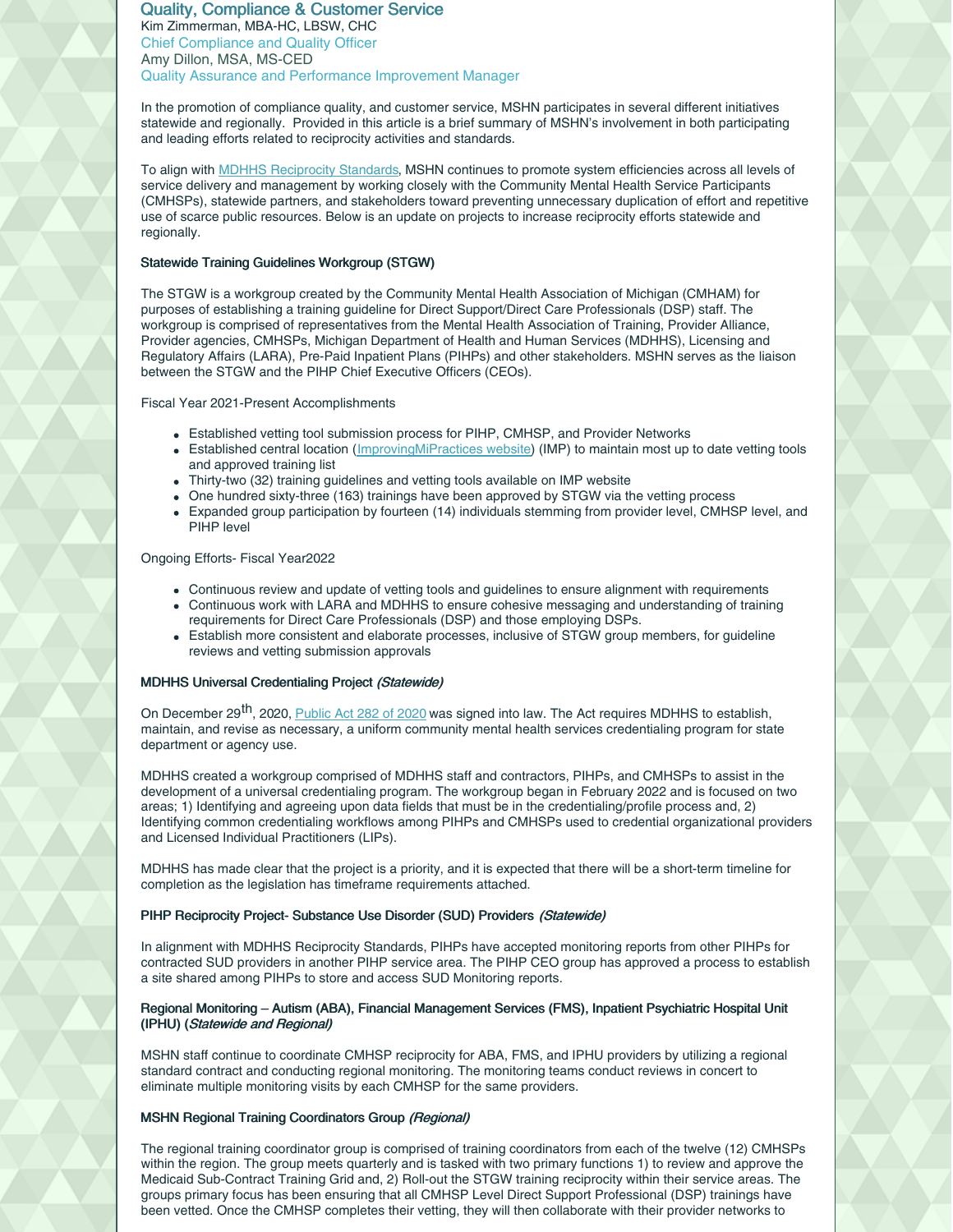# Quality, Compliance & Customer Service

Kim Zimmerman, MBA-HC, LBSW, CHC Chief Compliance and Quality Officer Amy Dillon, MSA, MS-CED Quality Assurance and Performance Improvement Manager

In the promotion of compliance quality, and customer service, MSHN participates in several different initiatives statewide and regionally. Provided in this article is a brief summary of MSHN's involvement in both participating and leading efforts related to reciprocity activities and standards.

To align with MDHHS [Reciprocity](https://www.michigan.gov/documents/mdhhs/Reciprocity_Standards_702783_7.pdf) Standards, MSHN continues to promote system efficiencies across all levels of service delivery and management by working closely with the Community Mental Health Service Participants (CMHSPs), statewide partners, and stakeholders toward preventing unnecessary duplication of effort and repetitive use of scarce public resources. Below is an update on projects to increase reciprocity efforts statewide and regionally.

#### Statewide Training Guidelines Workgroup (STGW)

The STGW is a workgroup created by the Community Mental Health Association of Michigan (CMHAM) for purposes of establishing a training guideline for Direct Support/Direct Care Professionals (DSP) staff. The workgroup is comprised of representatives from the Mental Health Association of Training, Provider Alliance, Provider agencies, CMHSPs, Michigan Department of Health and Human Services (MDHHS), Licensing and Regulatory Affairs (LARA), Pre-Paid Inpatient Plans (PIHPs) and other stakeholders. MSHN serves as the liaison between the STGW and the PIHP Chief Executive Officers (CEOs).

Fiscal Year 2021-Present Accomplishments

- Established vetting tool submission process for PIHP, CMHSP, and Provider Networks
- Established central location (*ImprovingMiPractices website*) (IMP) to maintain most up to date vetting tools and approved training list
- Thirty-two (32) training guidelines and vetting tools available on IMP website
- One hundred sixty-three (163) trainings have been approved by STGW via the vetting process
- Expanded group participation by fourteen (14) individuals stemming from provider level, CMHSP level, and PIHP level

Ongoing Efforts- Fiscal Year2022

- Continuous review and update of vetting tools and guidelines to ensure alignment with requirements
- Continuous work with LARA and MDHHS to ensure cohesive messaging and understanding of training requirements for Direct Care Professionals (DSP) and those employing DSPs.
- Establish more consistent and elaborate processes, inclusive of STGW group members, for guideline reviews and vetting submission approvals

## MDHHS Universal Credentialing Project (Statewide)

On December 29<sup>th</sup>, 2020, *[Public](http://www.legislature.mi.gov/(S(2yiyh3xzm1b1fqkvzm2dgbus))/mileg.aspx?page=getObject&objectName=2019-HB-5178) Act 282 of 2020* was signed into law. The Act requires MDHHS to establish, maintain, and revise as necessary, a uniform community mental health services credentialing program for state department or agency use.

MDHHS created a workgroup comprised of MDHHS staff and contractors, PIHPs, and CMHSPs to assist in the development of a universal credentialing program. The workgroup began in February 2022 and is focused on two areas; 1) Identifying and agreeing upon data fields that must be in the credentialing/profile process and, 2) Identifying common credentialing workflows among PIHPs and CMHSPs used to credential organizational providers and Licensed Individual Practitioners (LIPs).

MDHHS has made clear that the project is a priority, and it is expected that there will be a short-term timeline for completion as the legislation has timeframe requirements attached.

## PIHP Reciprocity Project- Substance Use Disorder (SUD) Providers (Statewide)

In alignment with MDHHS Reciprocity Standards, PIHPs have accepted monitoring reports from other PIHPs for contracted SUD providers in another PIHP service area. The PIHP CEO group has approved a process to establish a site shared among PIHPs to store and access SUD Monitoring reports.

#### Regional Monitoring – Autism (ABA), Financial Management Services (FMS), Inpatient Psychiatric Hospital Unit (IPHU) (Statewide and Regional)

MSHN staff continue to coordinate CMHSP reciprocity for ABA, FMS, and IPHU providers by utilizing a regional standard contract and conducting regional monitoring. The monitoring teams conduct reviews in concert to eliminate multiple monitoring visits by each CMHSP for the same providers.

## MSHN Regional Training Coordinators Group (Regional)

The regional training coordinator group is comprised of training coordinators from each of the twelve (12) CMHSPs within the region. The group meets quarterly and is tasked with two primary functions 1) to review and approve the Medicaid Sub-Contract Training Grid and, 2) Roll-out the STGW training reciprocity within their service areas. The groups primary focus has been ensuring that all CMHSP Level Direct Support Professional (DSP) trainings have been vetted. Once the CMHSP completes their vetting, they will then collaborate with their provider networks to